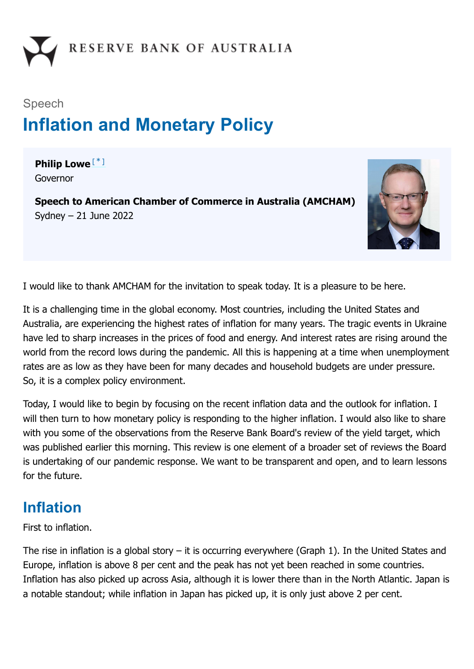

# Speech **Inflation and Monetary Policy**

<span id="page-0-0"></span>**Philip Lowe** [\*]Governor

**Speech to American Chamber of Commerce in Australia (AMCHAM)** Sydney – 21 June 2022



I would like to thank AMCHAM for the invitation to speak today. It is a pleasure to be here.

It is a challenging time in the global economy. Most countries, including the United States and Australia, are experiencing the highest rates of inflation for many years. The tragic events in Ukraine have led to sharp increases in the prices of food and energy. And interest rates are rising around the world from the record lows during the pandemic. All this is happening at a time when unemployment rates are as low as they have been for many decades and household budgets are under pressure. So, it is a complex policy environment.

Today, I would like to begin by focusing on the recent inflation data and the outlook for inflation. I will then turn to how monetary policy is responding to the higher inflation. I would also like to share with you some of the observations from the Reserve Bank Board's review of the yield target, which was published earlier this morning. This review is one element of a broader set of reviews the Board is undertaking of our pandemic response. We want to be transparent and open, and to learn lessons for the future.

#### **Inflation**

First to inflation.

The rise in inflation is a global story – it is occurring everywhere (Graph 1). In the United States and Europe, inflation is above 8 per cent and the peak has not yet been reached in some countries. Inflation has also picked up across Asia, although it is lower there than in the North Atlantic. Japan is a notable standout; while inflation in Japan has picked up, it is only just above 2 per cent.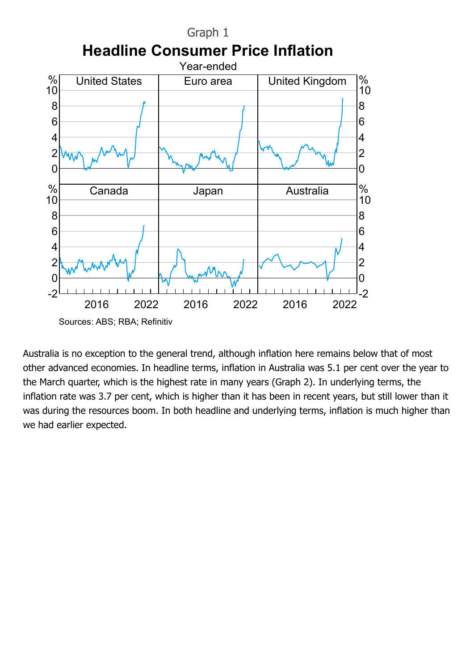

Australia is no exception to the general trend, although inflation here remains below that of most other advanced economies. In headline terms, inflation in Australia was 5.1 per cent over the year to the March quarter, which is the highest rate in many years (Graph 2). In underlying terms, the inflation rate was 3.7 per cent, which is higher than it has been in recent years, but still lower than it was during the resources boom. In both headline and underlying terms, inflation is much higher than we had earlier expected.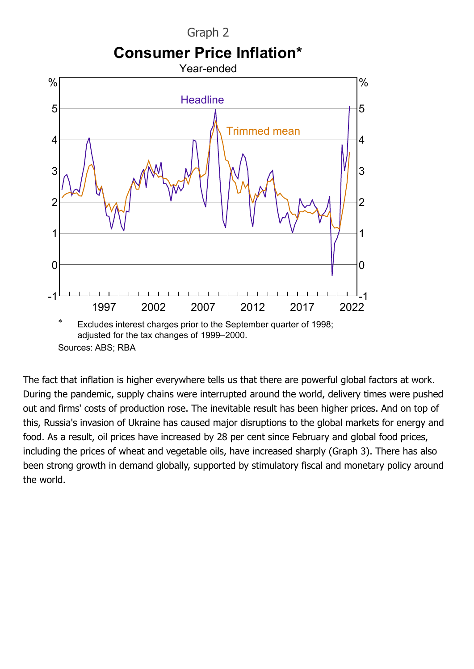

The fact that inflation is higher everywhere tells us that there are powerful global factors at work. During the pandemic, supply chains were interrupted around the world, delivery times were pushed out and firms' costs of production rose. The inevitable result has been higher prices. And on top of this, Russia's invasion of Ukraine has caused major disruptions to the global markets for energy and food. As a result, oil prices have increased by 28 per cent since February and global food prices, including the prices of wheat and vegetable oils, have increased sharply (Graph 3). There has also been strong growth in demand globally, supported by stimulatory fiscal and monetary policy around the world.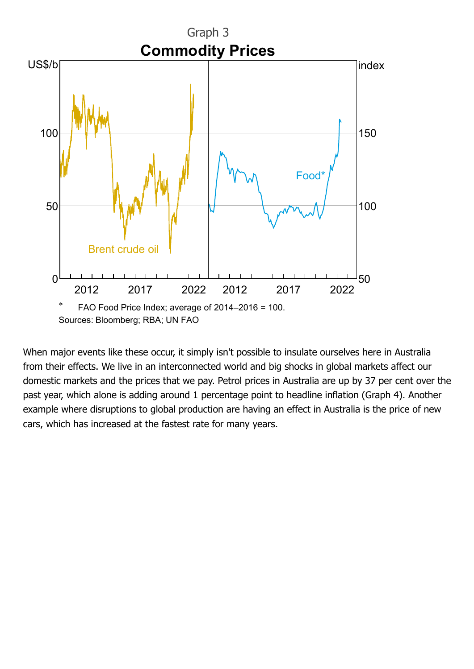

When major events like these occur, it simply isn't possible to insulate ourselves here in Australia from their effects. We live in an interconnected world and big shocks in global markets affect our domestic markets and the prices that we pay. Petrol prices in Australia are up by 37 per cent over the past year, which alone is adding around 1 percentage point to headline inflation (Graph 4). Another example where disruptions to global production are having an effect in Australia is the price of new cars, which has increased at the fastest rate for many years.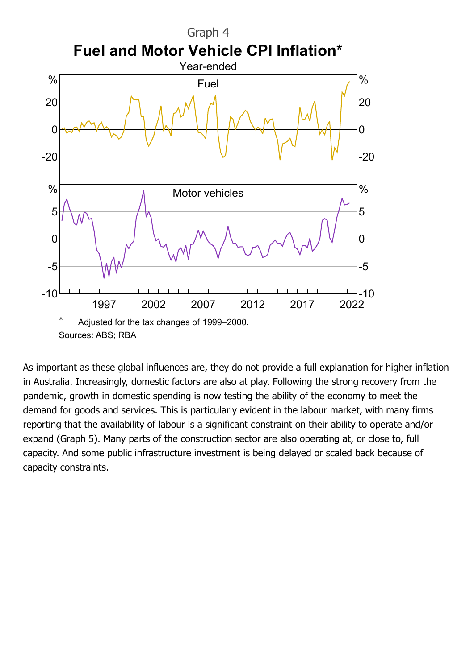

As important as these global influences are, they do not provide a full explanation for higher inflation in Australia. Increasingly, domestic factors are also at play. Following the strong recovery from the pandemic, growth in domestic spending is now testing the ability of the economy to meet the demand for goods and services. This is particularly evident in the labour market, with many firms reporting that the availability of labour is a significant constraint on their ability to operate and/or expand (Graph 5). Many parts of the construction sector are also operating at, or close to, full capacity. And some public infrastructure investment is being delayed or scaled back because of capacity constraints.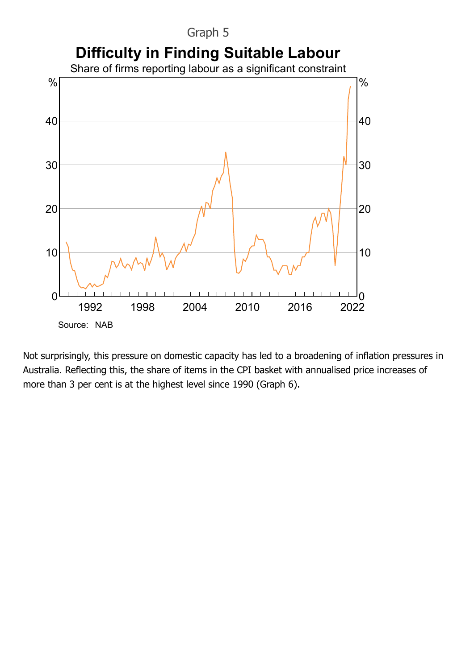

Not surprisingly, this pressure on domestic capacity has led to a broadening of inflation pressures in Australia. Reflecting this, the share of items in the CPI basket with annualised price increases of more than 3 per cent is at the highest level since 1990 (Graph 6).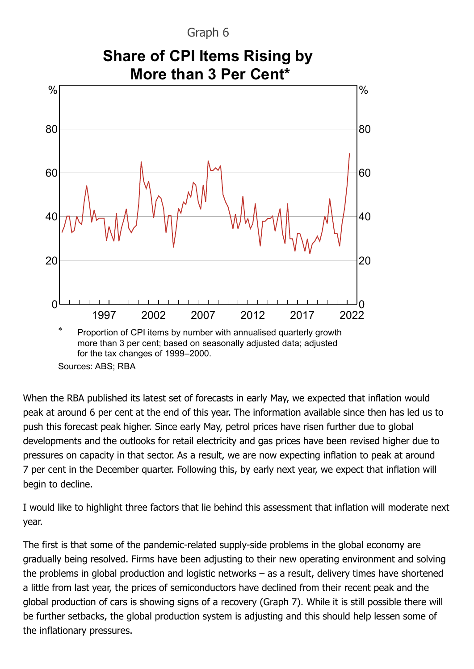

When the RBA published its latest set of forecasts in early May, we expected that inflation would peak at around 6 per cent at the end of this year. The information available since then has led us to push this forecast peak higher. Since early May, petrol prices have risen further due to global developments and the outlooks for retail electricity and gas prices have been revised higher due to pressures on capacity in that sector. As a result, we are now expecting inflation to peak at around 7 per cent in the December quarter. Following this, by early next year, we expect that inflation will begin to decline.

I would like to highlight three factors that lie behind this assessment that inflation will moderate next year.

The first is that some of the pandemic-related supply-side problems in the global economy are gradually being resolved. Firms have been adjusting to their new operating environment and solving the problems in global production and logistic networks – as a result, delivery times have shortened a little from last year, the prices of semiconductors have declined from their recent peak and the global production of cars is showing signs of a recovery (Graph 7). While it is still possible there will be further setbacks, the global production system is adjusting and this should help lessen some of the inflationary pressures.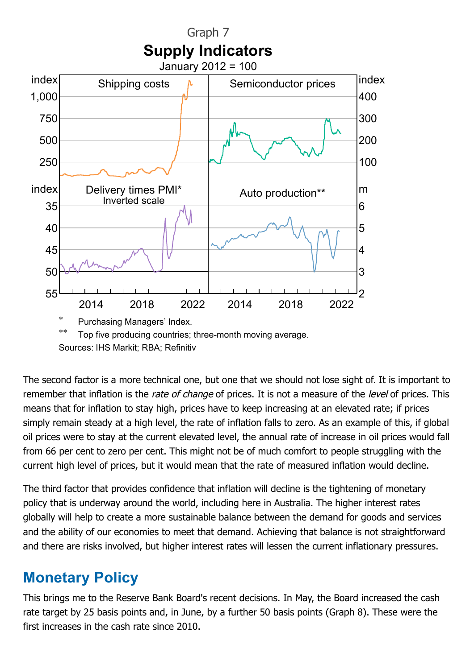

The second factor is a more technical one, but one that we should not lose sight of. It is important to remember that inflation is the rate of change of prices. It is not a measure of the level of prices. This means that for inflation to stay high, prices have to keep increasing at an elevated rate; if prices simply remain steady at a high level, the rate of inflation falls to zero. As an example of this, if global oil prices were to stay at the current elevated level, the annual rate of increase in oil prices would fall from 66 per cent to zero per cent. This might not be of much comfort to people struggling with the current high level of prices, but it would mean that the rate of measured inflation would decline.

The third factor that provides confidence that inflation will decline is the tightening of monetary policy that is underway around the world, including here in Australia. The higher interest rates globally will help to create a more sustainable balance between the demand for goods and services and the ability of our economies to meet that demand. Achieving that balance is not straightforward and there are risks involved, but higher interest rates will lessen the current inflationary pressures.

## **Monetary Policy**

This brings me to the Reserve Bank Board's recent decisions. In May, the Board increased the cash rate target by 25 basis points and, in June, by a further 50 basis points (Graph 8). These were the first increases in the cash rate since 2010.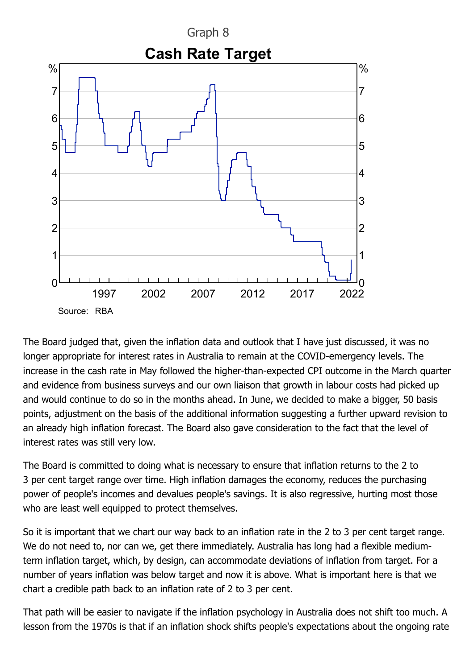

The Board judged that, given the inflation data and outlook that I have just discussed, it was no longer appropriate for interest rates in Australia to remain at the COVID-emergency levels. The increase in the cash rate in May followed the higher-than-expected CPI outcome in the March quarter and evidence from business surveys and our own liaison that growth in labour costs had picked up and would continue to do so in the months ahead. In June, we decided to make a bigger, 50 basis points, adjustment on the basis of the additional information suggesting a further upward revision to an already high inflation forecast. The Board also gave consideration to the fact that the level of interest rates was still very low.

The Board is committed to doing what is necessary to ensure that inflation returns to the 2 to 3 per cent target range over time. High inflation damages the economy, reduces the purchasing power of people's incomes and devalues people's savings. It is also regressive, hurting most those who are least well equipped to protect themselves.

So it is important that we chart our way back to an inflation rate in the 2 to 3 per cent target range. We do not need to, nor can we, get there immediately. Australia has long had a flexible mediumterm inflation target, which, by design, can accommodate deviations of inflation from target. For a number of years inflation was below target and now it is above. What is important here is that we chart a credible path back to an inflation rate of 2 to 3 per cent.

That path will be easier to navigate if the inflation psychology in Australia does not shift too much. A lesson from the 1970s is that if an inflation shock shifts people's expectations about the ongoing rate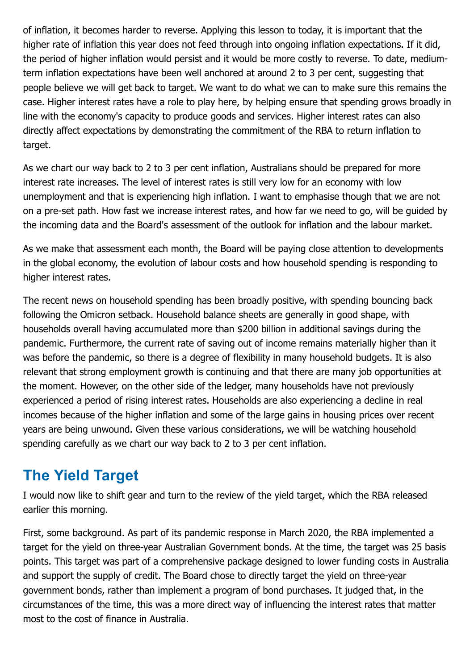of inflation, it becomes harder to reverse. Applying this lesson to today, it is important that the higher rate of inflation this year does not feed through into ongoing inflation expectations. If it did, the period of higher inflation would persist and it would be more costly to reverse. To date, mediumterm inflation expectations have been well anchored at around 2 to 3 per cent, suggesting that people believe we will get back to target. We want to do what we can to make sure this remains the case. Higher interest rates have a role to play here, by helping ensure that spending grows broadly in line with the economy's capacity to produce goods and services. Higher interest rates can also directly affect expectations by demonstrating the commitment of the RBA to return inflation to target.

As we chart our way back to 2 to 3 per cent inflation, Australians should be prepared for more interest rate increases. The level of interest rates is still very low for an economy with low unemployment and that is experiencing high inflation. I want to emphasise though that we are not on a pre-set path. How fast we increase interest rates, and how far we need to go, will be guided by the incoming data and the Board's assessment of the outlook for inflation and the labour market.

As we make that assessment each month, the Board will be paying close attention to developments in the global economy, the evolution of labour costs and how household spending is responding to higher interest rates.

The recent news on household spending has been broadly positive, with spending bouncing back following the Omicron setback. Household balance sheets are generally in good shape, with households overall having accumulated more than \$200 billion in additional savings during the pandemic. Furthermore, the current rate of saving out of income remains materially higher than it was before the pandemic, so there is a degree of flexibility in many household budgets. It is also relevant that strong employment growth is continuing and that there are many job opportunities at the moment. However, on the other side of the ledger, many households have not previously experienced a period of rising interest rates. Households are also experiencing a decline in real incomes because of the higher inflation and some of the large gains in housing prices over recent years are being unwound. Given these various considerations, we will be watching household spending carefully as we chart our way back to 2 to 3 per cent inflation.

## **The Yield Target**

I would now like to shift gear and turn to the review of the yield target, which the RBA released earlier this morning.

First, some background. As part of its pandemic response in March 2020, the RBA implemented a target for the yield on three-year Australian Government bonds. At the time, the target was 25 basis points. This target was part of a comprehensive package designed to lower funding costs in Australia and support the supply of credit. The Board chose to directly target the yield on three-year government bonds, rather than implement a program of bond purchases. It judged that, in the circumstances of the time, this was a more direct way of influencing the interest rates that matter most to the cost of finance in Australia.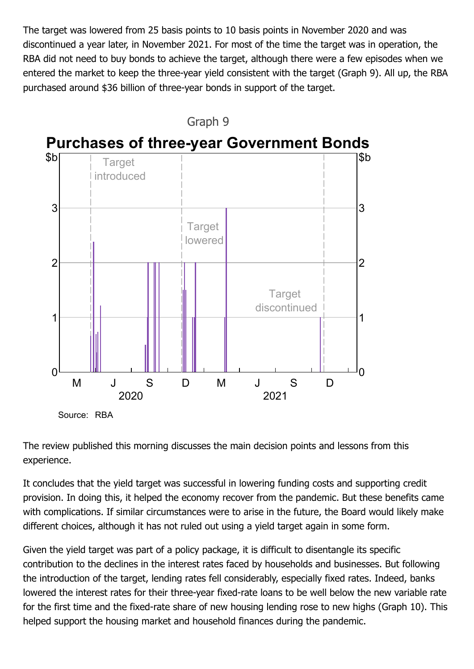The target was lowered from 25 basis points to 10 basis points in November 2020 and was discontinued a year later, in November 2021. For most of the time the target was in operation, the RBA did not need to buy bonds to achieve the target, although there were a few episodes when we entered the market to keep the three-year yield consistent with the target (Graph 9). All up, the RBA purchased around \$36 billion of three-year bonds in support of the target.



The review published this morning discusses the main decision points and lessons from this experience.

It concludes that the yield target was successful in lowering funding costs and supporting credit provision. In doing this, it helped the economy recover from the pandemic. But these benefits came with complications. If similar circumstances were to arise in the future, the Board would likely make different choices, although it has not ruled out using a yield target again in some form.

Given the yield target was part of a policy package, it is difficult to disentangle its specific contribution to the declines in the interest rates faced by households and businesses. But following the introduction of the target, lending rates fell considerably, especially fixed rates. Indeed, banks lowered the interest rates for their three-year fixed-rate loans to be well below the new variable rate for the first time and the fixed-rate share of new housing lending rose to new highs (Graph 10). This helped support the housing market and household finances during the pandemic.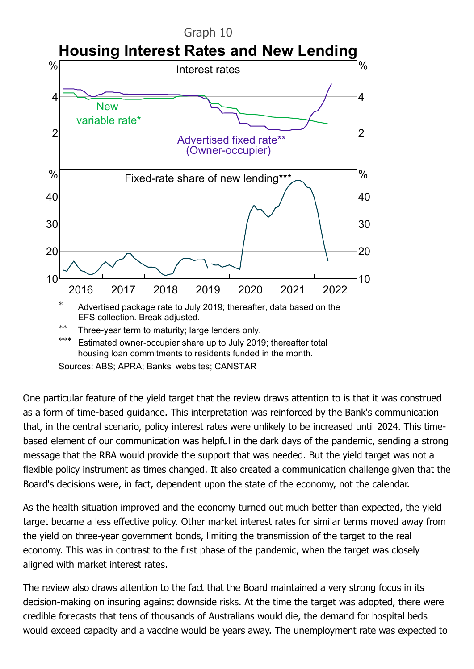

Sources: ABS; APRA; Banks' websites; CANSTAR

One particular feature of the yield target that the review draws attention to is that it was construed as a form of time-based guidance. This interpretation was reinforced by the Bank's communication that, in the central scenario, policy interest rates were unlikely to be increased until 2024. This timebased element of our communication was helpful in the dark days of the pandemic, sending a strong message that the RBA would provide the support that was needed. But the yield target was not a flexible policy instrument as times changed. It also created a communication challenge given that the Board's decisions were, in fact, dependent upon the state of the economy, not the calendar.

As the health situation improved and the economy turned out much better than expected, the yield target became a less effective policy. Other market interest rates for similar terms moved away from the yield on three-year government bonds, limiting the transmission of the target to the real economy. This was in contrast to the first phase of the pandemic, when the target was closely aligned with market interest rates.

The review also draws attention to the fact that the Board maintained a very strong focus in its decision-making on insuring against downside risks. At the time the target was adopted, there were credible forecasts that tens of thousands of Australians would die, the demand for hospital beds would exceed capacity and a vaccine would be years away. The unemployment rate was expected to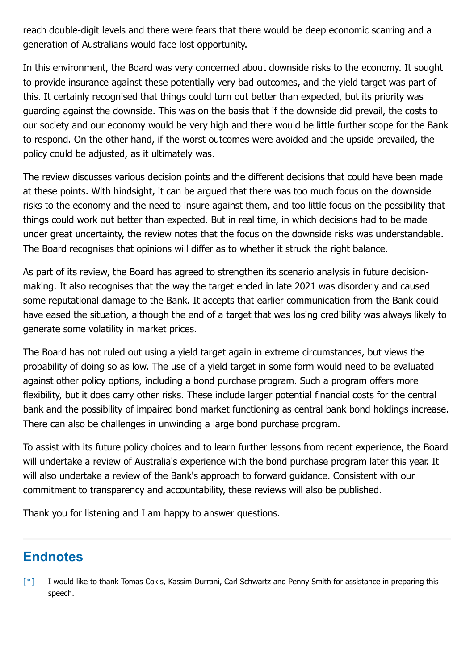reach double-digit levels and there were fears that there would be deep economic scarring and a generation of Australians would face lost opportunity.

In this environment, the Board was very concerned about downside risks to the economy. It sought to provide insurance against these potentially very bad outcomes, and the yield target was part of this. It certainly recognised that things could turn out better than expected, but its priority was guarding against the downside. This was on the basis that if the downside did prevail, the costs to our society and our economy would be very high and there would be little further scope for the Bank to respond. On the other hand, if the worst outcomes were avoided and the upside prevailed, the policy could be adjusted, as it ultimately was.

The review discusses various decision points and the different decisions that could have been made at these points. With hindsight, it can be argued that there was too much focus on the downside risks to the economy and the need to insure against them, and too little focus on the possibility that things could work out better than expected. But in real time, in which decisions had to be made under great uncertainty, the review notes that the focus on the downside risks was understandable. The Board recognises that opinions will differ as to whether it struck the right balance.

As part of its review, the Board has agreed to strengthen its scenario analysis in future decisionmaking. It also recognises that the way the target ended in late 2021 was disorderly and caused some reputational damage to the Bank. It accepts that earlier communication from the Bank could have eased the situation, although the end of a target that was losing credibility was always likely to generate some volatility in market prices.

The Board has not ruled out using a yield target again in extreme circumstances, but views the probability of doing so as low. The use of a yield target in some form would need to be evaluated against other policy options, including a bond purchase program. Such a program offers more flexibility, but it does carry other risks. These include larger potential financial costs for the central bank and the possibility of impaired bond market functioning as central bank bond holdings increase. There can also be challenges in unwinding a large bond purchase program.

To assist with its future policy choices and to learn further lessons from recent experience, the Board will undertake a review of Australia's experience with the bond purchase program later this year. It will also undertake a review of the Bank's approach to forward guidance. Consistent with our commitment to transparency and accountability, these reviews will also be published.

Thank you for listening and I am happy to answer questions.

#### **Endnotes**

I would like to thank Tomas Cokis, Kassim Durrani, Carl Schwartz and Penny Smith for assistance in preparing this speech. [\[\\*\]](#page-0-0)